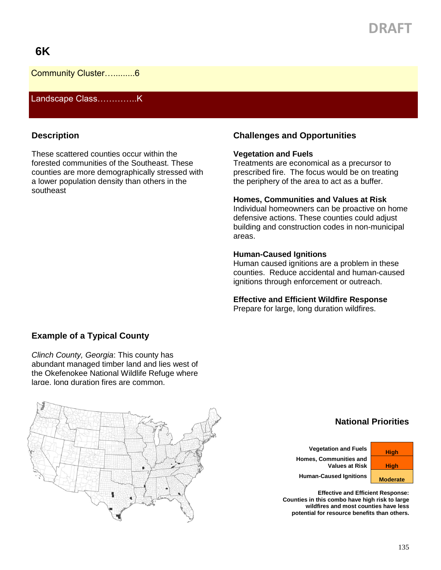# **DRAFT**

## **6K**

Community Cluster….........6

Landscape Class…………..K

### **Description**

These scattered counties occur within the forested communities of the Southeast. These counties are more demographically stressed with a lower population density than others in the southeast

## **Challenges and Opportunities**

#### **Vegetation and Fuels**

Treatments are economical as a precursor to prescribed fire. The focus would be on treating the periphery of the area to act as a buffer.

#### **Homes, Communities and Values at Risk**

Individual homeowners can be proactive on home defensive actions. These counties could adjust building and construction codes in non-municipal areas.

#### **Human-Caused Ignitions**

Human caused ignitions are a problem in these counties. Reduce accidental and human-caused ignitions through enforcement or outreach.

#### **Effective and Efficient Wildfire Response**

Prepare for large, long duration wildfires.

### **Example of a Typical County**

*Clinch County, Georgia*: This county has abundant managed timber land and lies west of the Okefenokee National Wildlife Refuge where large, long duration fires are common.



## **National Priorities**

**Vegetation and Fuels High Homes, Communities and Values at Risk | High** 

**Human-Caused Ignitions Moderate** 

**Effective and Efficient Response: Counties in this combo have high risk to large wildfires and most counties have less potential for resource benefits than others.**